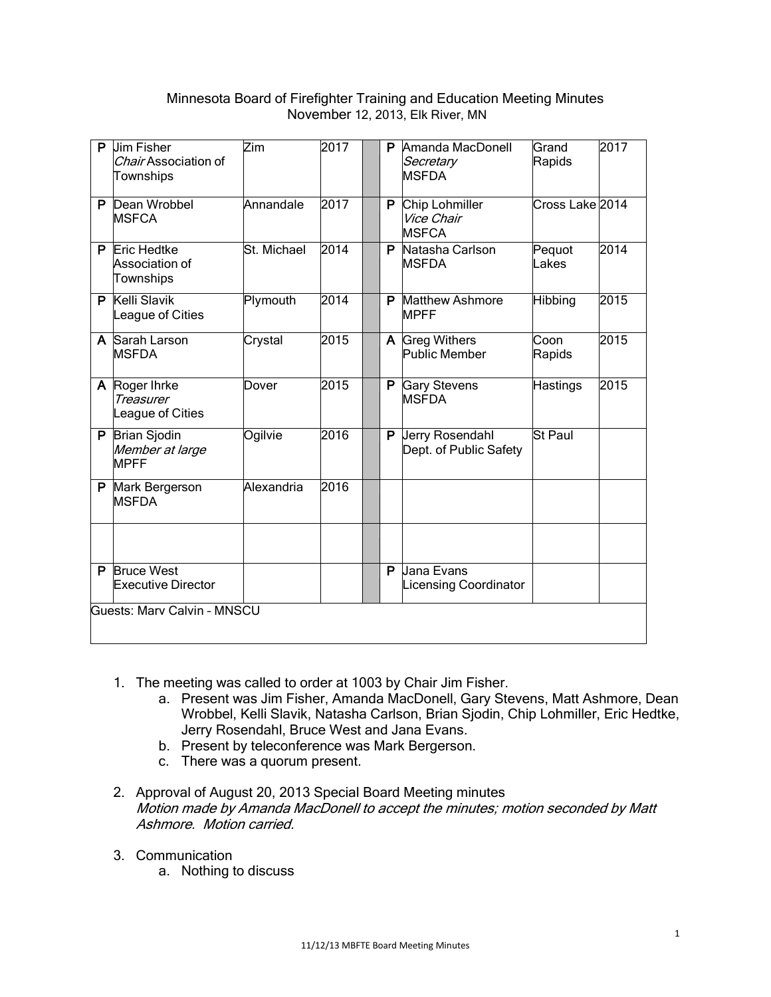# Minnesota Board of Firefighter Training and Education Meeting Minutes November 12, 2013, Elk River, MN

|                             | P Jim Fisher<br>Chair Association of<br>Townships     | Zim         | 2017 |  | P. | Amanda MacDonell<br>Secretary<br><b>MSFDA</b> | Grand<br>Rapids | 2017 |
|-----------------------------|-------------------------------------------------------|-------------|------|--|----|-----------------------------------------------|-----------------|------|
|                             | P Dean Wrobbel<br><b>IMSFCA</b>                       | Annandale   | 2017 |  | P. | Chip Lohmiller<br>Vice Chair<br><b>MSFCA</b>  | Cross Lake 2014 |      |
|                             | <b>P</b> Eric Hedtke<br>Association of<br>Townships   | St. Michael | 2014 |  | P  | Natasha Carlson<br><b>MSFDA</b>               | Pequot<br>Lakes | 2014 |
|                             | P Kelli Slavik<br>League of Cities                    | Plymouth    | 2014 |  | P  | Matthew Ashmore<br><b>MPFF</b>                | Hibbing         | 2015 |
|                             | A Sarah Larson<br><b>MSFDA</b>                        | Crystal     | 2015 |  |    | A Greg Withers<br><b>Public Member</b>        | Coon<br>Rapids  | 2015 |
|                             | A Roger Ihrke<br><b>Treasurer</b><br>League of Cities | Dover       | 2015 |  | P  | <b>Gary Stevens</b><br><b>MSFDA</b>           | <b>Hastings</b> | 2015 |
|                             | P Brian Sjodin<br>Member at large<br><b>MPFF</b>      | Ogilvie     | 2016 |  | P. | Jerry Rosendahl<br>Dept. of Public Safety     | <b>St Paul</b>  |      |
|                             | P Mark Bergerson<br><b>MSFDA</b>                      | Alexandria  | 2016 |  |    |                                               |                 |      |
|                             |                                                       |             |      |  |    |                                               |                 |      |
| P                           | <b>Bruce West</b><br><b>Executive Director</b>        |             |      |  | P  | Jana Evans<br><b>Licensing Coordinator</b>    |                 |      |
| Guests: Marv Calvin - MNSCU |                                                       |             |      |  |    |                                               |                 |      |

- 1. The meeting was called to order at 1003 by Chair Jim Fisher.
	- a. Present was Jim Fisher, Amanda MacDonell, Gary Stevens, Matt Ashmore, Dean Wrobbel, Kelli Slavik, Natasha Carlson, Brian Sjodin, Chip Lohmiller, Eric Hedtke, Jerry Rosendahl, Bruce West and Jana Evans.
	- b. Present by teleconference was Mark Bergerson.
	- c. There was a quorum present.
- 2. Approval of August 20, 2013 Special Board Meeting minutes Motion made by Amanda MacDonell to accept the minutes; motion seconded by Matt Ashmore. Motion carried.
- 3. Communication
	- a. Nothing to discuss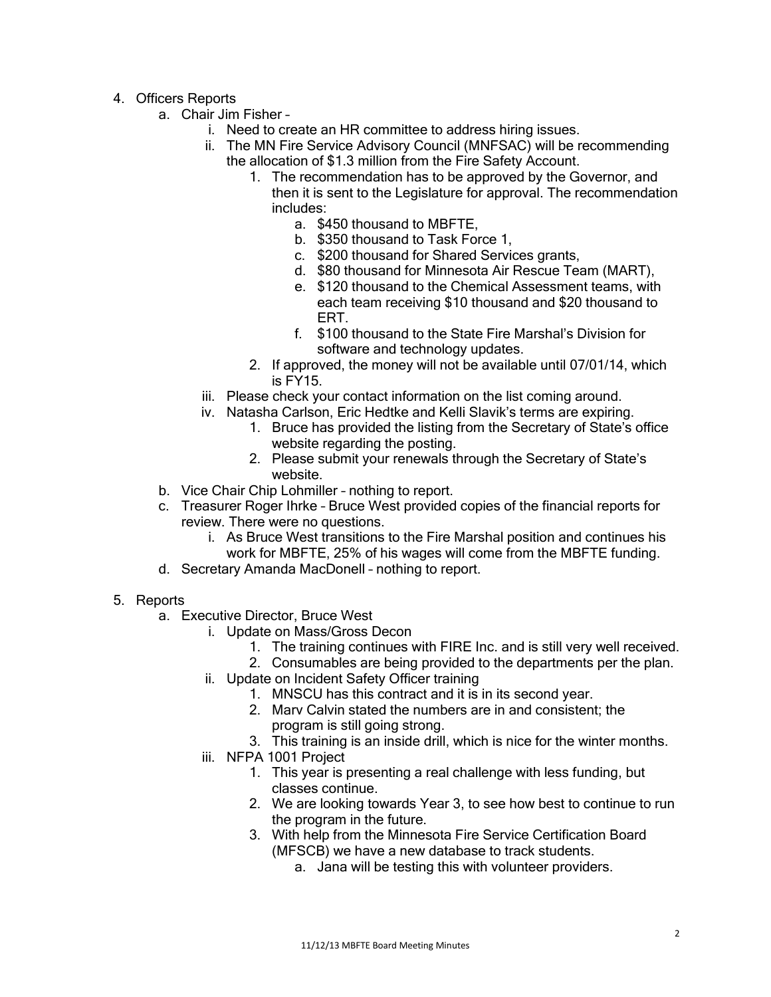- 4. Officers Reports
	- a. Chair Jim Fisher
		- i. Need to create an HR committee to address hiring issues.
		- ii. The MN Fire Service Advisory Council (MNFSAC) will be recommending the allocation of \$1.3 million from the Fire Safety Account.
			- 1. The recommendation has to be approved by the Governor, and then it is sent to the Legislature for approval. The recommendation includes:
				- a. \$450 thousand to MBFTE,
				- b. \$350 thousand to Task Force 1,
				- c. \$200 thousand for Shared Services grants,
				- d. \$80 thousand for Minnesota Air Rescue Team (MART),
				- e. \$120 thousand to the Chemical Assessment teams, with each team receiving \$10 thousand and \$20 thousand to ERT.
				- f. \$100 thousand to the State Fire Marshal's Division for software and technology updates.
			- 2. If approved, the money will not be available until 07/01/14, which is FY15.
		- iii. Please check your contact information on the list coming around.
		- iv. Natasha Carlson, Eric Hedtke and Kelli Slavik's terms are expiring.
			- 1. Bruce has provided the listing from the Secretary of State's office website regarding the posting.
			- 2. Please submit your renewals through the Secretary of State's website.
	- b. Vice Chair Chip Lohmiller nothing to report.
	- c. Treasurer Roger Ihrke Bruce West provided copies of the financial reports for review. There were no questions.
		- i. As Bruce West transitions to the Fire Marshal position and continues his work for MBFTE, 25% of his wages will come from the MBFTE funding.
	- d. Secretary Amanda MacDonell nothing to report.
- 5. Reports
	- a. Executive Director, Bruce West
		- i. Update on Mass/Gross Decon
			- 1. The training continues with FIRE Inc. and is still very well received.
			- 2. Consumables are being provided to the departments per the plan.
		- ii. Update on Incident Safety Officer training
			- 1. MNSCU has this contract and it is in its second year.
			- 2. Marv Calvin stated the numbers are in and consistent; the
				- program is still going strong.
			- 3. This training is an inside drill, which is nice for the winter months.
		- iii. NFPA 1001 Project
			- 1. This year is presenting a real challenge with less funding, but classes continue.
			- 2. We are looking towards Year 3, to see how best to continue to run the program in the future.
			- 3. With help from the Minnesota Fire Service Certification Board (MFSCB) we have a new database to track students.
				- a. Jana will be testing this with volunteer providers.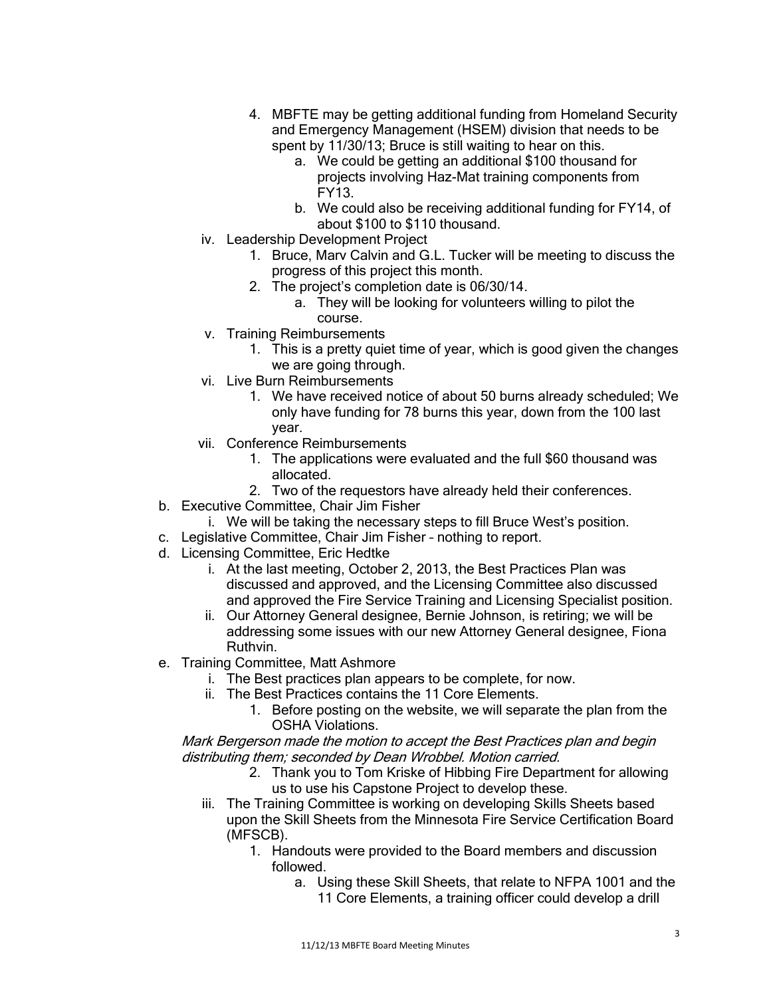- 4. MBFTE may be getting additional funding from Homeland Security and Emergency Management (HSEM) division that needs to be spent by 11/30/13; Bruce is still waiting to hear on this.
	- a. We could be getting an additional \$100 thousand for projects involving Haz-Mat training components from FY13.
	- b. We could also be receiving additional funding for FY14, of about \$100 to \$110 thousand.
- iv. Leadership Development Project
	- 1. Bruce, Marv Calvin and G.L. Tucker will be meeting to discuss the progress of this project this month.
	- 2. The project's completion date is 06/30/14.
		- a. They will be looking for volunteers willing to pilot the course.
- v. Training Reimbursements
	- 1. This is a pretty quiet time of year, which is good given the changes we are going through.
- vi. Live Burn Reimbursements
	- 1. We have received notice of about 50 burns already scheduled; We only have funding for 78 burns this year, down from the 100 last year.
- vii. Conference Reimbursements
	- 1. The applications were evaluated and the full \$60 thousand was allocated.
	- 2. Two of the requestors have already held their conferences.
- b. Executive Committee, Chair Jim Fisher
	- i. We will be taking the necessary steps to fill Bruce West's position.
- c. Legislative Committee, Chair Jim Fisher nothing to report.
- d. Licensing Committee, Eric Hedtke
	- i. At the last meeting, October 2, 2013, the Best Practices Plan was discussed and approved, and the Licensing Committee also discussed and approved the Fire Service Training and Licensing Specialist position.
	- ii. Our Attorney General designee, Bernie Johnson, is retiring; we will be addressing some issues with our new Attorney General designee, Fiona Ruthvin.
- e. Training Committee, Matt Ashmore
	- i. The Best practices plan appears to be complete, for now.
	- ii. The Best Practices contains the 11 Core Elements.
		- 1. Before posting on the website, we will separate the plan from the OSHA Violations.

Mark Bergerson made the motion to accept the Best Practices plan and begin distributing them; seconded by Dean Wrobbel. Motion carried.

- 2. Thank you to Tom Kriske of Hibbing Fire Department for allowing us to use his Capstone Project to develop these.
- iii. The Training Committee is working on developing Skills Sheets based upon the Skill Sheets from the Minnesota Fire Service Certification Board (MFSCB).
	- 1. Handouts were provided to the Board members and discussion followed.
		- a. Using these Skill Sheets, that relate to NFPA 1001 and the 11 Core Elements, a training officer could develop a drill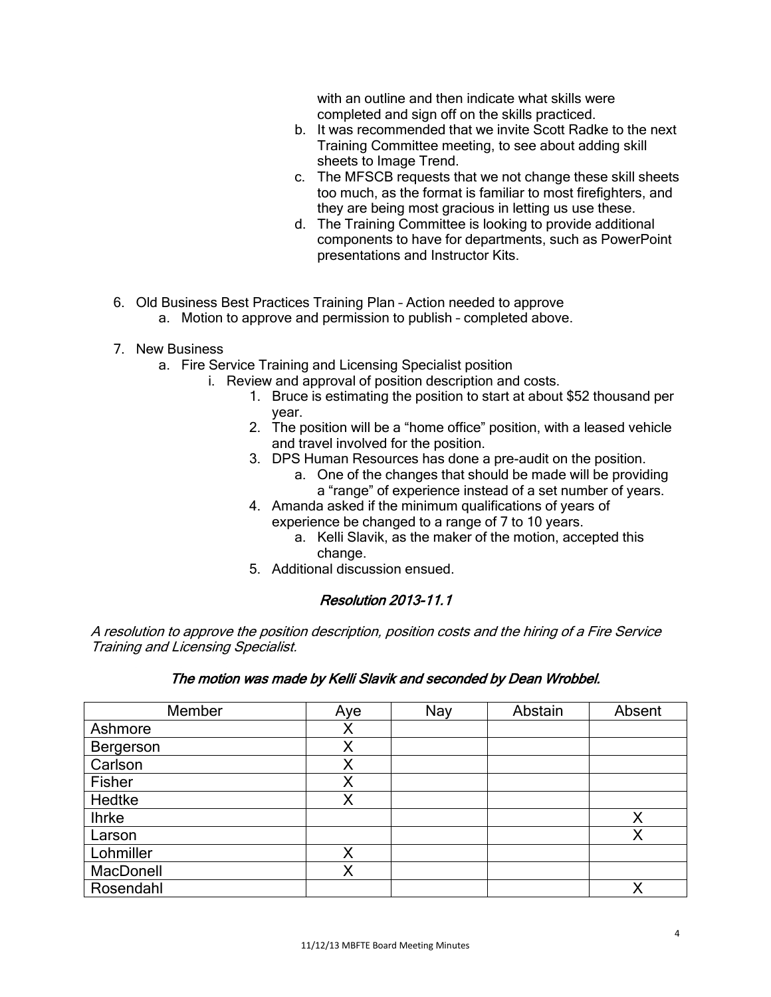with an outline and then indicate what skills were completed and sign off on the skills practiced.

- b. It was recommended that we invite Scott Radke to the next Training Committee meeting, to see about adding skill sheets to Image Trend.
- c. The MFSCB requests that we not change these skill sheets too much, as the format is familiar to most firefighters, and they are being most gracious in letting us use these.
- d. The Training Committee is looking to provide additional components to have for departments, such as PowerPoint presentations and Instructor Kits.
- 6. Old Business Best Practices Training Plan Action needed to approve
	- a. Motion to approve and permission to publish completed above.
- 7. New Business
	- a. Fire Service Training and Licensing Specialist position
		- i. Review and approval of position description and costs.
			- 1. Bruce is estimating the position to start at about \$52 thousand per year.
			- 2. The position will be a "home office" position, with a leased vehicle and travel involved for the position.
			- 3. DPS Human Resources has done a pre-audit on the position.
				- a. One of the changes that should be made will be providing a "range" of experience instead of a set number of years.
			- 4. Amanda asked if the minimum qualifications of years of experience be changed to a range of 7 to 10 years.
				- a. Kelli Slavik, as the maker of the motion, accepted this change.
			- 5. Additional discussion ensued.

# Resolution 2013-11.1

A resolution to approve the position description, position costs and the hiring of a Fire Service Training and Licensing Specialist.

# The motion was made by Kelli Slavik and seconded by Dean Wrobbel.

| Member       | Aye | Nay | Abstain | Absent |
|--------------|-----|-----|---------|--------|
| Ashmore      | Χ   |     |         |        |
| Bergerson    | Χ   |     |         |        |
| Carlson      | Χ   |     |         |        |
| Fisher       | Χ   |     |         |        |
| Hedtke       | Χ   |     |         |        |
| <b>Ihrke</b> |     |     |         | Х      |
| Larson       |     |     |         | Χ      |
| Lohmiller    | Χ   |     |         |        |
| MacDonell    | Χ   |     |         |        |
| Rosendahl    |     |     |         |        |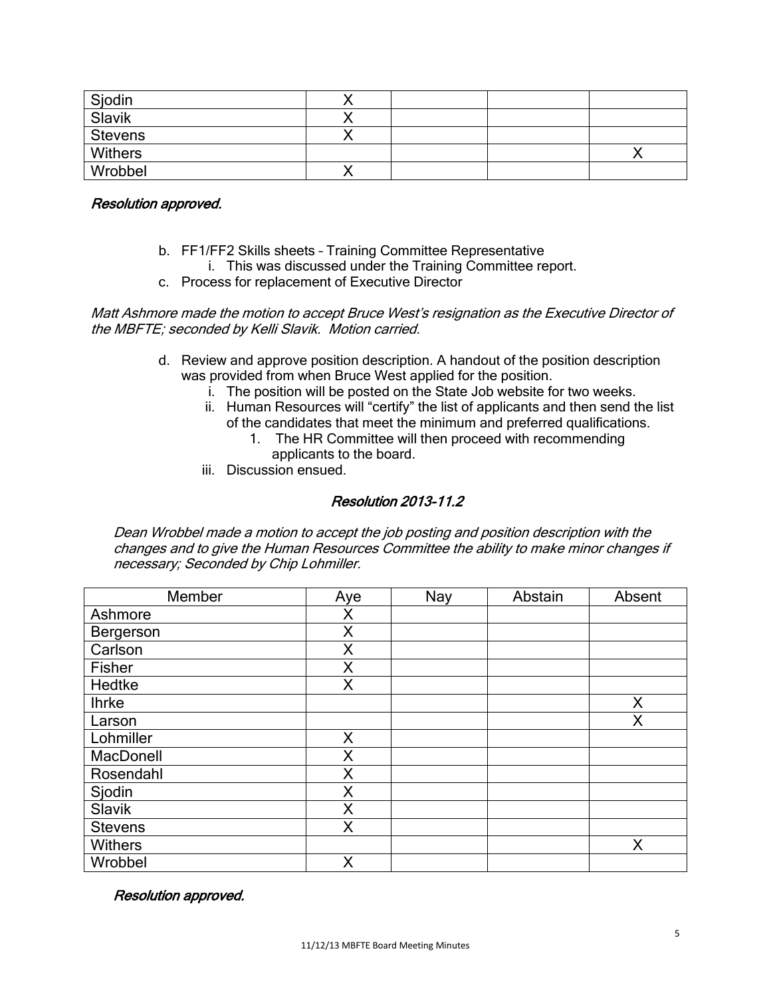| Sjodin         |  |  |
|----------------|--|--|
| Slavik         |  |  |
| <b>Stevens</b> |  |  |
| Withers        |  |  |
| Wrobbel        |  |  |

#### Resolution approved.

- b. FF1/FF2 Skills sheets Training Committee Representative
- i. This was discussed under the Training Committee report.
- c. Process for replacement of Executive Director

Matt Ashmore made the motion to accept Bruce West's resignation as the Executive Director of the MBFTE; seconded by Kelli Slavik. Motion carried.

- d. Review and approve position description. A handout of the position description was provided from when Bruce West applied for the position.
	- i. The position will be posted on the State Job website for two weeks.
	- ii. Human Resources will "certify" the list of applicants and then send the list of the candidates that meet the minimum and preferred qualifications.
		- 1. The HR Committee will then proceed with recommending applicants to the board.
	- iii. Discussion ensued.

# Resolution 2013-11.2

Dean Wrobbel made a motion to accept the job posting and position description with the changes and to give the Human Resources Committee the ability to make minor changes if necessary; Seconded by Chip Lohmiller.

| Member           | Aye | Nay | Abstain | Absent |
|------------------|-----|-----|---------|--------|
| Ashmore          | Χ   |     |         |        |
| Bergerson        | X   |     |         |        |
| Carlson          | X   |     |         |        |
| Fisher           | X   |     |         |        |
| Hedtke           | X   |     |         |        |
| <b>Ihrke</b>     |     |     |         | Χ      |
| Larson           |     |     |         | Χ      |
| Lohmiller        | X   |     |         |        |
| <b>MacDonell</b> | X   |     |         |        |
| Rosendahl        | X   |     |         |        |
| Sjodin           | X   |     |         |        |
| Slavik           | X   |     |         |        |
| <b>Stevens</b>   | Χ   |     |         |        |
| <b>Withers</b>   |     |     |         | Χ      |
| Wrobbel          | Χ   |     |         |        |

#### Resolution approved.